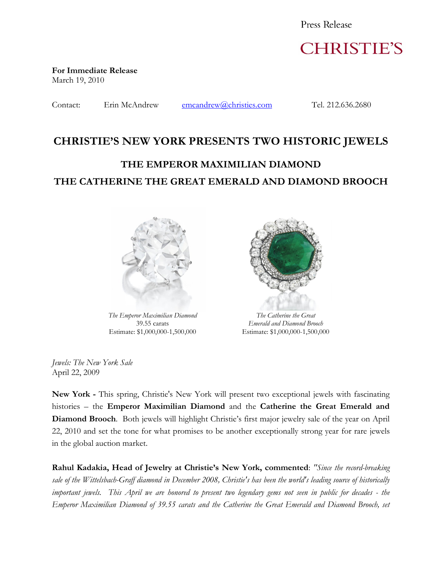Press Release



**For Immediate Release** March 19, 2010

Contact: Erin McAndrew emcandrew@christies.com Tel. 212.636.2680

## **CHRISTIE'S NEW YORK PRESENTS TWO HISTORIC JEWELS**

# **THE EMPEROR MAXIMILIAN DIAMOND THE CATHERINE THE GREAT EMERALD AND DIAMOND BROOCH**



*The Emperor Maximilian Diamond* 39.55 carats Estimate: \$1,000,000-1,500,000



*The Catherine the Great Emerald and Diamond Brooch* Estimate: \$1,000,000-1,500,000

*Jewels: The New York Sale* April 22, 2009

**New York -** This spring, Christie's New York will present two exceptional jewels with fascinating histories – the **Emperor Maximilian Diamond** and the **Catherine the Great Emerald and Diamond Brooch**. Both jewels will highlight Christie's first major jewelry sale of the year on April 22, 2010 and set the tone for what promises to be another exceptionally strong year for rare jewels in the global auction market.

**Rahul Kadakia, Head of Jewelry at Christie's New York, commented**: *"Since the record-breaking sale of the Wittelsbach-Graff diamond in December 2008, Christie's has been the world's leading source of historically important jewels. This April we are honored to present two legendary gems not seen in public for decades - the Emperor Maximilian Diamond of 39.55 carats and the Catherine the Great Emerald and Diamond Brooch, set*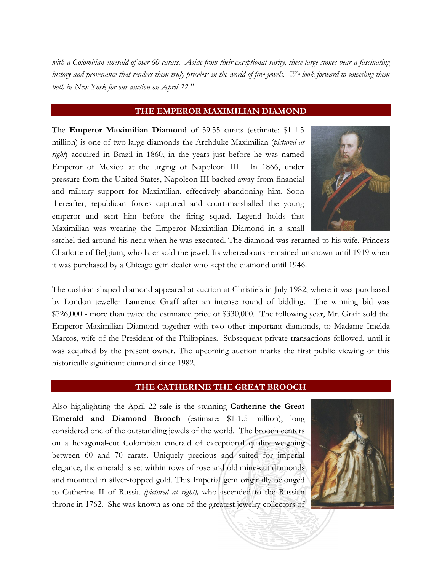*with a Colombian emerald of over 60 carats. Aside from their exceptional rarity, these large stones bear a fascinating history and provenance that renders them truly priceless in the world of fine jewels. We look forward to unveiling them both in New York for our auction on April 22."*

### **THE EMPEROR MAXIMILIAN DIAMOND**

The **Emperor Maximilian Diamond** of 39.55 carats (estimate: \$1-1.5 million) is one of two large diamonds the Archduke Maximilian (*pictured at right*) acquired in Brazil in 1860, in the years just before he was named Emperor of Mexico at the urging of Napoleon III. In 1866, under pressure from the United States, Napoleon III backed away from financial and military support for Maximilian, effectively abandoning him. Soon thereafter, republican forces captured and court-marshalled the young emperor and sent him before the firing squad. Legend holds that Maximilian was wearing the Emperor Maximilian Diamond in a small



satchel tied around his neck when he was executed. The diamond was returned to his wife, Princess Charlotte of Belgium, who later sold the jewel. Its whereabouts remained unknown until 1919 when it was purchased by a Chicago gem dealer who kept the diamond until 1946.

The cushion-shaped diamond appeared at auction at Christie's in July 1982, where it was purchased by London jeweller Laurence Graff after an intense round of bidding. The winning bid was \$726,000 - more than twice the estimated price of \$330,000. The following year, Mr. Graff sold the Emperor Maximilian Diamond together with two other important diamonds, to Madame Imelda Marcos, wife of the President of the Philippines. Subsequent private transactions followed, until it was acquired by the present owner. The upcoming auction marks the first public viewing of this historically significant diamond since 1982.

#### **THE CATHERINE THE GREAT BROOCH**

Also highlighting the April 22 sale is the stunning **Catherine the Great Emerald and Diamond Brooch** (estimate: \$1-1.5 million), long considered one of the outstanding jewels of the world. The brooch centers on a hexagonal-cut Colombian emerald of exceptional quality weighing between 60 and 70 carats. Uniquely precious and suited for imperial elegance, the emerald is set within rows of rose and old mine-cut diamonds and mounted in silver-topped gold. This Imperial gem originally belonged to Catherine II of Russia *(pictured at right),* who ascended to the Russian throne in 1762. She was known as one of the greatest jewelry collectors of

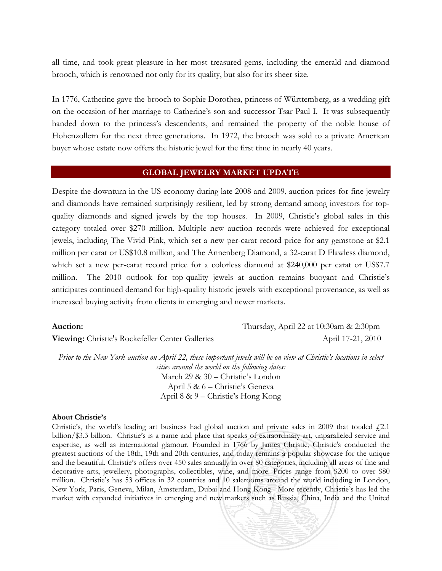all time, and took great pleasure in her most treasured gems, including the emerald and diamond brooch, which is renowned not only for its quality, but also for its sheer size.

In 1776, Catherine gave the brooch to Sophie Dorothea, princess of Württemberg, as a wedding gift on the occasion of her marriage to Catherine's son and successor Tsar Paul I. It was subsequently handed down to the princess's descendents, and remained the property of the noble house of Hohenzollern for the next three generations. In 1972, the brooch was sold to a private American buyer whose estate now offers the historic jewel for the first time in nearly 40 years.

#### **GLOBAL JEWELRY MARKET UPDATE**

Despite the downturn in the US economy during late 2008 and 2009, auction prices for fine jewelry and diamonds have remained surprisingly resilient, led by strong demand among investors for topquality diamonds and signed jewels by the top houses. In 2009, Christie's global sales in this category totaled over \$270 million. Multiple new auction records were achieved for exceptional jewels, including The Vivid Pink, which set a new per-carat record price for any gemstone at \$2.1 million per carat or US\$10.8 million, and The Annenberg Diamond, a 32-carat D Flawless diamond, which set a new per-carat record price for a colorless diamond at \$240,000 per carat or US\$7.7 million. The 2010 outlook for top-quality jewels at auction remains buoyant and Christie's anticipates continued demand for high-quality historic jewels with exceptional provenance, as well as increased buying activity from clients in emerging and newer markets.

| <b>Auction:</b> |  |
|-----------------|--|
|                 |  |

**Viewing:** Christie's Rockefeller Center Galleries April 17-21, 2010

**Auction:** Thursday, April 22 at 10:30am & 2:30pm

*Prior to the New York auction on April 22, these important jewels will be on view at Christie's locations in select cities around the world on the following dates:* March 29 & 30 – Christie's London April 5 & 6 – Christie's Geneva April 8 & 9 – Christie's Hong Kong

#### **About Christie's**

Christie's, the world's leading art business had global auction and private sales in 2009 that totaled  $f(2.1)$ billion/\$3.3 billion. Christie's is a name and place that speaks of extraordinary art, unparalleled service and expertise, as well as international glamour. Founded in 1766 by James Christie, Christie's conducted the greatest auctions of the 18th, 19th and 20th centuries, and today remains a popular showcase for the unique and the beautiful. Christie's offers over 450 sales annually in over 80 categories, including all areas of fine and decorative arts, jewellery, photographs, collectibles, wine, and more. Prices range from \$200 to over \$80 million. Christie's has 53 offices in 32 countries and 10 salerooms around the world including in London, New York, Paris, Geneva, Milan, Amsterdam, Dubai and Hong Kong. More recently, Christie's has led the market with expanded initiatives in emerging and new markets such as Russia, China, India and the United